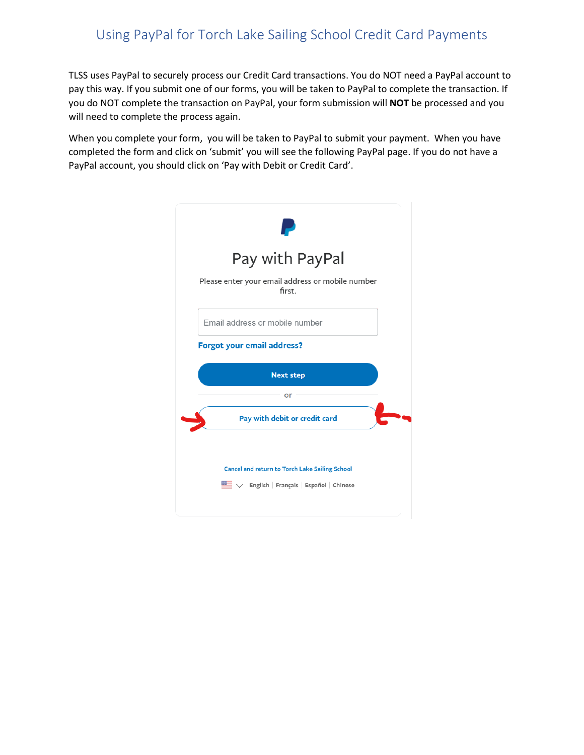## Using PayPal for Torch Lake Sailing School Credit Card Payments

TLSS uses PayPal to securely process our Credit Card transactions. You do NOT need a PayPal account to pay this way. If you submit one of our forms, you will be taken to PayPal to complete the transaction. If you do NOT complete the transaction on PayPal, your form submission will **NOT** be processed and you will need to complete the process again.

When you complete your form, you will be taken to PayPal to submit your payment. When you have completed the form and click on 'submit' you will see the following PayPal page. If you do not have a PayPal account, you should click on 'Pay with Debit or Credit Card'.

| Pay with PayPal                                            |
|------------------------------------------------------------|
| Please enter your email address or mobile number<br>first. |
| Email address or mobile number                             |
| Forgot your email address?                                 |
|                                                            |
| <b>Next step</b>                                           |
| or                                                         |
| Pay with debit or credit card                              |